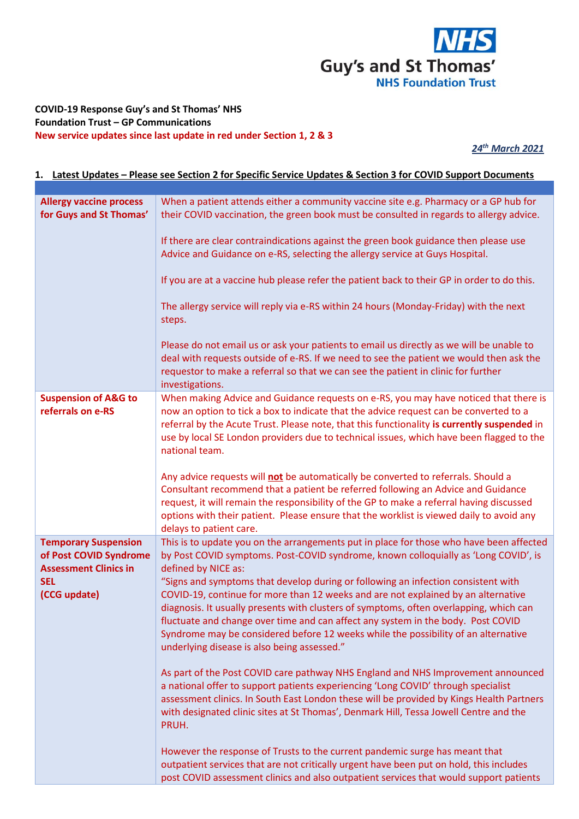

## **COVID-19 Response Guy's and St Thomas' NHS Foundation Trust – GP Communications New service updates since last update in red under Section 1, 2 & 3**

*24th March 2021*

## **1. Latest Updates – Please see Section 2 for Specific Service Updates & Section 3 for COVID Support Documents**

| <b>Allergy vaccine process</b><br>for Guys and St Thomas'                                                           | When a patient attends either a community vaccine site e.g. Pharmacy or a GP hub for<br>their COVID vaccination, the green book must be consulted in regards to allergy advice.                                                                                                                                                                                                                                                                                                                                                                                                                                                                                                                                                                                                                                                                                             |
|---------------------------------------------------------------------------------------------------------------------|-----------------------------------------------------------------------------------------------------------------------------------------------------------------------------------------------------------------------------------------------------------------------------------------------------------------------------------------------------------------------------------------------------------------------------------------------------------------------------------------------------------------------------------------------------------------------------------------------------------------------------------------------------------------------------------------------------------------------------------------------------------------------------------------------------------------------------------------------------------------------------|
|                                                                                                                     | If there are clear contraindications against the green book guidance then please use<br>Advice and Guidance on e-RS, selecting the allergy service at Guys Hospital.                                                                                                                                                                                                                                                                                                                                                                                                                                                                                                                                                                                                                                                                                                        |
|                                                                                                                     | If you are at a vaccine hub please refer the patient back to their GP in order to do this.                                                                                                                                                                                                                                                                                                                                                                                                                                                                                                                                                                                                                                                                                                                                                                                  |
|                                                                                                                     | The allergy service will reply via e-RS within 24 hours (Monday-Friday) with the next<br>steps.                                                                                                                                                                                                                                                                                                                                                                                                                                                                                                                                                                                                                                                                                                                                                                             |
|                                                                                                                     | Please do not email us or ask your patients to email us directly as we will be unable to<br>deal with requests outside of e-RS. If we need to see the patient we would then ask the<br>requestor to make a referral so that we can see the patient in clinic for further<br>investigations.                                                                                                                                                                                                                                                                                                                                                                                                                                                                                                                                                                                 |
| <b>Suspension of A&amp;G to</b><br>referrals on e-RS                                                                | When making Advice and Guidance requests on e-RS, you may have noticed that there is<br>now an option to tick a box to indicate that the advice request can be converted to a<br>referral by the Acute Trust. Please note, that this functionality is currently suspended in<br>use by local SE London providers due to technical issues, which have been flagged to the<br>national team.                                                                                                                                                                                                                                                                                                                                                                                                                                                                                  |
|                                                                                                                     | Any advice requests will not be automatically be converted to referrals. Should a<br>Consultant recommend that a patient be referred following an Advice and Guidance<br>request, it will remain the responsibility of the GP to make a referral having discussed<br>options with their patient. Please ensure that the worklist is viewed daily to avoid any<br>delays to patient care.                                                                                                                                                                                                                                                                                                                                                                                                                                                                                    |
| <b>Temporary Suspension</b><br>of Post COVID Syndrome<br><b>Assessment Clinics in</b><br><b>SEL</b><br>(CCG update) | This is to update you on the arrangements put in place for those who have been affected<br>by Post COVID symptoms. Post-COVID syndrome, known colloquially as 'Long COVID', is<br>defined by NICE as:<br>"Signs and symptoms that develop during or following an infection consistent with<br>COVID-19, continue for more than 12 weeks and are not explained by an alternative<br>diagnosis. It usually presents with clusters of symptoms, often overlapping, which can<br>fluctuate and change over time and can affect any system in the body. Post COVID<br>Syndrome may be considered before 12 weeks while the possibility of an alternative<br>underlying disease is also being assessed."<br>As part of the Post COVID care pathway NHS England and NHS Improvement announced<br>a national offer to support patients experiencing 'Long COVID' through specialist |
|                                                                                                                     | assessment clinics. In South East London these will be provided by Kings Health Partners<br>with designated clinic sites at St Thomas', Denmark Hill, Tessa Jowell Centre and the<br>PRUH.                                                                                                                                                                                                                                                                                                                                                                                                                                                                                                                                                                                                                                                                                  |
|                                                                                                                     | However the response of Trusts to the current pandemic surge has meant that<br>outpatient services that are not critically urgent have been put on hold, this includes<br>post COVID assessment clinics and also outpatient services that would support patients                                                                                                                                                                                                                                                                                                                                                                                                                                                                                                                                                                                                            |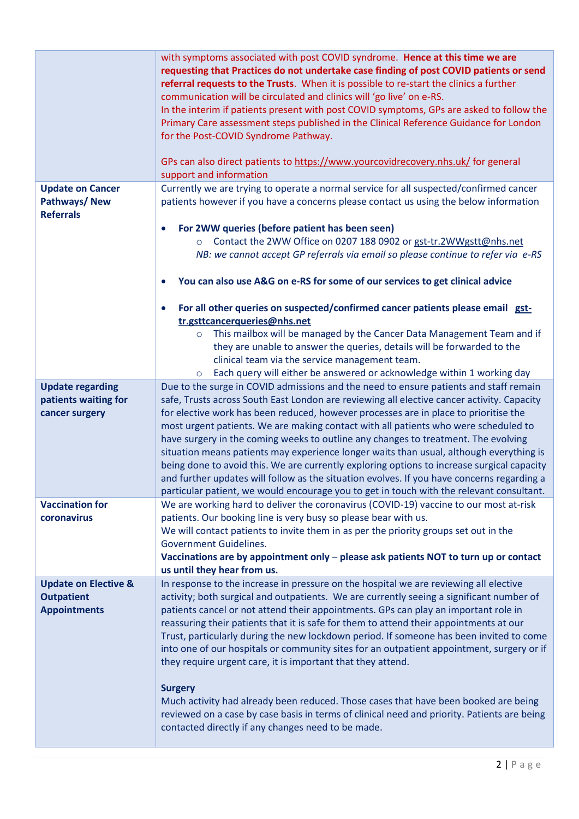|                                                                             | with symptoms associated with post COVID syndrome. Hence at this time we are<br>requesting that Practices do not undertake case finding of post COVID patients or send<br>referral requests to the Trusts. When it is possible to re-start the clinics a further<br>communication will be circulated and clinics will 'go live' on e-RS.<br>In the interim if patients present with post COVID symptoms, GPs are asked to follow the<br>Primary Care assessment steps published in the Clinical Reference Guidance for London<br>for the Post-COVID Syndrome Pathway.<br>GPs can also direct patients to https://www.yourcovidrecovery.nhs.uk/ for general<br>support and information                                                              |
|-----------------------------------------------------------------------------|----------------------------------------------------------------------------------------------------------------------------------------------------------------------------------------------------------------------------------------------------------------------------------------------------------------------------------------------------------------------------------------------------------------------------------------------------------------------------------------------------------------------------------------------------------------------------------------------------------------------------------------------------------------------------------------------------------------------------------------------------|
| <b>Update on Cancer</b>                                                     | Currently we are trying to operate a normal service for all suspected/confirmed cancer                                                                                                                                                                                                                                                                                                                                                                                                                                                                                                                                                                                                                                                             |
| Pathways/New<br><b>Referrals</b>                                            | patients however if you have a concerns please contact us using the below information                                                                                                                                                                                                                                                                                                                                                                                                                                                                                                                                                                                                                                                              |
|                                                                             | For 2WW queries (before patient has been seen)<br>$\bullet$                                                                                                                                                                                                                                                                                                                                                                                                                                                                                                                                                                                                                                                                                        |
|                                                                             | Contact the 2WW Office on 0207 188 0902 or gst-tr.2WWgstt@nhs.net<br>$\circ$<br>NB: we cannot accept GP referrals via email so please continue to refer via e-RS                                                                                                                                                                                                                                                                                                                                                                                                                                                                                                                                                                                   |
|                                                                             | You can also use A&G on e-RS for some of our services to get clinical advice                                                                                                                                                                                                                                                                                                                                                                                                                                                                                                                                                                                                                                                                       |
|                                                                             | For all other queries on suspected/confirmed cancer patients please email gst-<br>$\bullet$<br>tr.gsttcancerqueries@nhs.net                                                                                                                                                                                                                                                                                                                                                                                                                                                                                                                                                                                                                        |
|                                                                             | This mailbox will be managed by the Cancer Data Management Team and if<br>$\circ$                                                                                                                                                                                                                                                                                                                                                                                                                                                                                                                                                                                                                                                                  |
|                                                                             | they are unable to answer the queries, details will be forwarded to the                                                                                                                                                                                                                                                                                                                                                                                                                                                                                                                                                                                                                                                                            |
|                                                                             | clinical team via the service management team.                                                                                                                                                                                                                                                                                                                                                                                                                                                                                                                                                                                                                                                                                                     |
|                                                                             | Each query will either be answered or acknowledge within 1 working day<br>$\circ$                                                                                                                                                                                                                                                                                                                                                                                                                                                                                                                                                                                                                                                                  |
| <b>Update regarding</b>                                                     | Due to the surge in COVID admissions and the need to ensure patients and staff remain                                                                                                                                                                                                                                                                                                                                                                                                                                                                                                                                                                                                                                                              |
| patients waiting for<br>cancer surgery                                      | safe, Trusts across South East London are reviewing all elective cancer activity. Capacity<br>for elective work has been reduced, however processes are in place to prioritise the<br>most urgent patients. We are making contact with all patients who were scheduled to<br>have surgery in the coming weeks to outline any changes to treatment. The evolving<br>situation means patients may experience longer waits than usual, although everything is<br>being done to avoid this. We are currently exploring options to increase surgical capacity<br>and further updates will follow as the situation evolves. If you have concerns regarding a<br>particular patient, we would encourage you to get in touch with the relevant consultant. |
| <b>Vaccination for</b>                                                      | We are working hard to deliver the coronavirus (COVID-19) vaccine to our most at-risk                                                                                                                                                                                                                                                                                                                                                                                                                                                                                                                                                                                                                                                              |
| coronavirus                                                                 | patients. Our booking line is very busy so please bear with us.                                                                                                                                                                                                                                                                                                                                                                                                                                                                                                                                                                                                                                                                                    |
|                                                                             | We will contact patients to invite them in as per the priority groups set out in the                                                                                                                                                                                                                                                                                                                                                                                                                                                                                                                                                                                                                                                               |
|                                                                             | <b>Government Guidelines.</b>                                                                                                                                                                                                                                                                                                                                                                                                                                                                                                                                                                                                                                                                                                                      |
|                                                                             | Vaccinations are by appointment only - please ask patients NOT to turn up or contact                                                                                                                                                                                                                                                                                                                                                                                                                                                                                                                                                                                                                                                               |
|                                                                             | us until they hear from us.                                                                                                                                                                                                                                                                                                                                                                                                                                                                                                                                                                                                                                                                                                                        |
| <b>Update on Elective &amp;</b><br><b>Outpatient</b><br><b>Appointments</b> | In response to the increase in pressure on the hospital we are reviewing all elective<br>activity; both surgical and outpatients. We are currently seeing a significant number of<br>patients cancel or not attend their appointments. GPs can play an important role in<br>reassuring their patients that it is safe for them to attend their appointments at our<br>Trust, particularly during the new lockdown period. If someone has been invited to come<br>into one of our hospitals or community sites for an outpatient appointment, surgery or if<br>they require urgent care, it is important that they attend.                                                                                                                          |
|                                                                             | <b>Surgery</b><br>Much activity had already been reduced. Those cases that have been booked are being<br>reviewed on a case by case basis in terms of clinical need and priority. Patients are being<br>contacted directly if any changes need to be made.                                                                                                                                                                                                                                                                                                                                                                                                                                                                                         |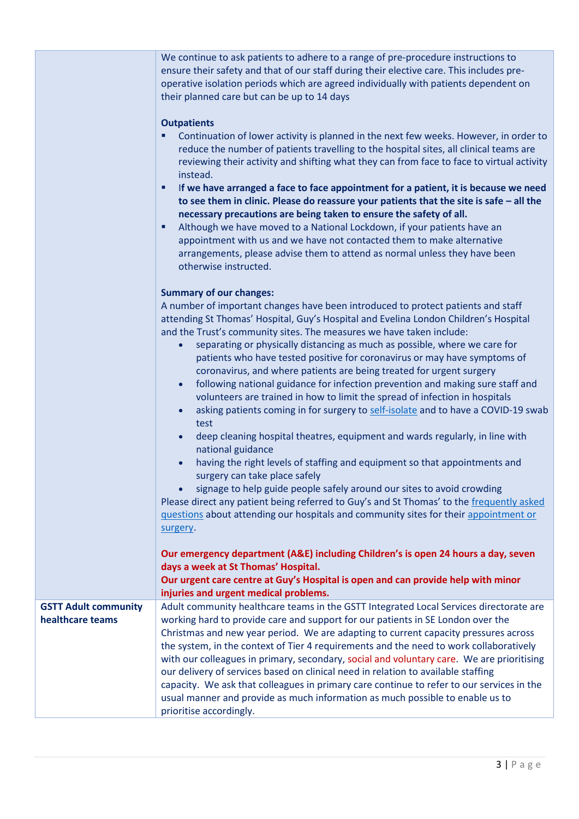|                             | We continue to ask patients to adhere to a range of pre-procedure instructions to<br>ensure their safety and that of our staff during their elective care. This includes pre-<br>operative isolation periods which are agreed individually with patients dependent on<br>their planned care but can be up to 14 days<br><b>Outpatients</b><br>Continuation of lower activity is planned in the next few weeks. However, in order to                                                                                                                                                                                                                                                                                                                                                                                                                                                                                                          |
|-----------------------------|----------------------------------------------------------------------------------------------------------------------------------------------------------------------------------------------------------------------------------------------------------------------------------------------------------------------------------------------------------------------------------------------------------------------------------------------------------------------------------------------------------------------------------------------------------------------------------------------------------------------------------------------------------------------------------------------------------------------------------------------------------------------------------------------------------------------------------------------------------------------------------------------------------------------------------------------|
|                             | reduce the number of patients travelling to the hospital sites, all clinical teams are<br>reviewing their activity and shifting what they can from face to face to virtual activity<br>instead.<br>If we have arranged a face to face appointment for a patient, it is because we need<br>٠                                                                                                                                                                                                                                                                                                                                                                                                                                                                                                                                                                                                                                                  |
|                             | to see them in clinic. Please do reassure your patients that the site is safe $-$ all the<br>necessary precautions are being taken to ensure the safety of all.<br>Although we have moved to a National Lockdown, if your patients have an<br>٠<br>appointment with us and we have not contacted them to make alternative                                                                                                                                                                                                                                                                                                                                                                                                                                                                                                                                                                                                                    |
|                             | arrangements, please advise them to attend as normal unless they have been<br>otherwise instructed.                                                                                                                                                                                                                                                                                                                                                                                                                                                                                                                                                                                                                                                                                                                                                                                                                                          |
|                             | <b>Summary of our changes:</b><br>A number of important changes have been introduced to protect patients and staff<br>attending St Thomas' Hospital, Guy's Hospital and Evelina London Children's Hospital<br>and the Trust's community sites. The measures we have taken include:<br>separating or physically distancing as much as possible, where we care for<br>$\bullet$<br>patients who have tested positive for coronavirus or may have symptoms of<br>coronavirus, and where patients are being treated for urgent surgery<br>following national guidance for infection prevention and making sure staff and<br>$\bullet$<br>volunteers are trained in how to limit the spread of infection in hospitals<br>asking patients coming in for surgery to self-isolate and to have a COVID-19 swab<br>$\bullet$<br>test<br>deep cleaning hospital theatres, equipment and wards regularly, in line with<br>$\bullet$<br>national guidance |
|                             | having the right levels of staffing and equipment so that appointments and<br>surgery can take place safely<br>signage to help guide people safely around our sites to avoid crowding<br>Please direct any patient being referred to Guy's and St Thomas' to the frequently asked<br>questions about attending our hospitals and community sites for their appointment or                                                                                                                                                                                                                                                                                                                                                                                                                                                                                                                                                                    |
|                             | surgery.<br>Our emergency department (A&E) including Children's is open 24 hours a day, seven<br>days a week at St Thomas' Hospital.<br>Our urgent care centre at Guy's Hospital is open and can provide help with minor<br>injuries and urgent medical problems.                                                                                                                                                                                                                                                                                                                                                                                                                                                                                                                                                                                                                                                                            |
| <b>GSTT Adult community</b> | Adult community healthcare teams in the GSTT Integrated Local Services directorate are                                                                                                                                                                                                                                                                                                                                                                                                                                                                                                                                                                                                                                                                                                                                                                                                                                                       |
| healthcare teams            | working hard to provide care and support for our patients in SE London over the                                                                                                                                                                                                                                                                                                                                                                                                                                                                                                                                                                                                                                                                                                                                                                                                                                                              |
|                             | Christmas and new year period. We are adapting to current capacity pressures across                                                                                                                                                                                                                                                                                                                                                                                                                                                                                                                                                                                                                                                                                                                                                                                                                                                          |
|                             | the system, in the context of Tier 4 requirements and the need to work collaboratively                                                                                                                                                                                                                                                                                                                                                                                                                                                                                                                                                                                                                                                                                                                                                                                                                                                       |
|                             | with our colleagues in primary, secondary, social and voluntary care. We are prioritising                                                                                                                                                                                                                                                                                                                                                                                                                                                                                                                                                                                                                                                                                                                                                                                                                                                    |
|                             | our delivery of services based on clinical need in relation to available staffing                                                                                                                                                                                                                                                                                                                                                                                                                                                                                                                                                                                                                                                                                                                                                                                                                                                            |
|                             | capacity. We ask that colleagues in primary care continue to refer to our services in the                                                                                                                                                                                                                                                                                                                                                                                                                                                                                                                                                                                                                                                                                                                                                                                                                                                    |
|                             | usual manner and provide as much information as much possible to enable us to                                                                                                                                                                                                                                                                                                                                                                                                                                                                                                                                                                                                                                                                                                                                                                                                                                                                |
|                             | prioritise accordingly.                                                                                                                                                                                                                                                                                                                                                                                                                                                                                                                                                                                                                                                                                                                                                                                                                                                                                                                      |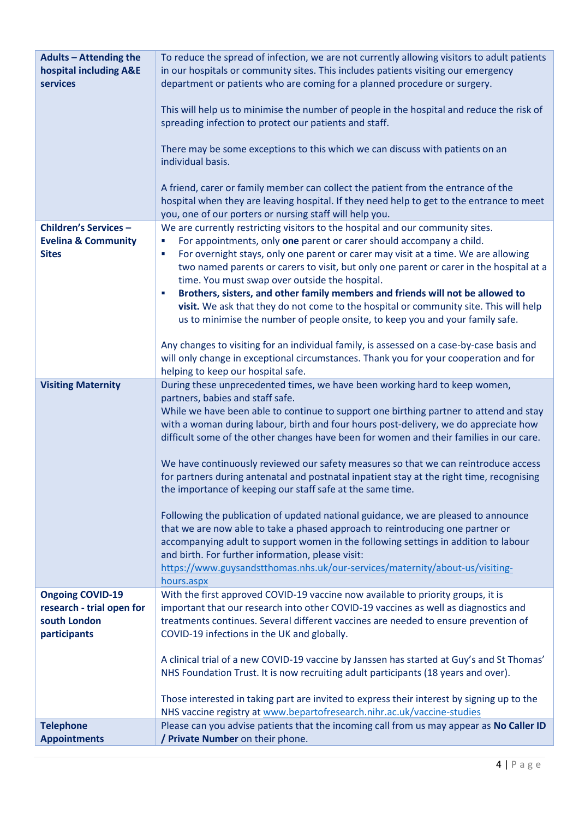| <b>Adults - Attending the</b><br>hospital including A&E<br><b>services</b>           | To reduce the spread of infection, we are not currently allowing visitors to adult patients<br>in our hospitals or community sites. This includes patients visiting our emergency<br>department or patients who are coming for a planned procedure or surgery.<br>This will help us to minimise the number of people in the hospital and reduce the risk of<br>spreading infection to protect our patients and staff.<br>There may be some exceptions to this which we can discuss with patients on an<br>individual basis.<br>A friend, carer or family member can collect the patient from the entrance of the<br>hospital when they are leaving hospital. If they need help to get to the entrance to meet<br>you, one of our porters or nursing staff will help you.                                                                                                                                                                                                                                                                                        |
|--------------------------------------------------------------------------------------|-----------------------------------------------------------------------------------------------------------------------------------------------------------------------------------------------------------------------------------------------------------------------------------------------------------------------------------------------------------------------------------------------------------------------------------------------------------------------------------------------------------------------------------------------------------------------------------------------------------------------------------------------------------------------------------------------------------------------------------------------------------------------------------------------------------------------------------------------------------------------------------------------------------------------------------------------------------------------------------------------------------------------------------------------------------------|
| <b>Children's Services -</b><br><b>Evelina &amp; Community</b><br><b>Sites</b>       | We are currently restricting visitors to the hospital and our community sites.<br>For appointments, only one parent or carer should accompany a child.<br>г<br>For overnight stays, only one parent or carer may visit at a time. We are allowing<br>×<br>two named parents or carers to visit, but only one parent or carer in the hospital at a<br>time. You must swap over outside the hospital.<br>Brothers, sisters, and other family members and friends will not be allowed to<br>r<br>visit. We ask that they do not come to the hospital or community site. This will help<br>us to minimise the number of people onsite, to keep you and your family safe.<br>Any changes to visiting for an individual family, is assessed on a case-by-case basis and<br>will only change in exceptional circumstances. Thank you for your cooperation and for<br>helping to keep our hospital safe.                                                                                                                                                                |
| <b>Visiting Maternity</b>                                                            | During these unprecedented times, we have been working hard to keep women,<br>partners, babies and staff safe.<br>While we have been able to continue to support one birthing partner to attend and stay<br>with a woman during labour, birth and four hours post-delivery, we do appreciate how<br>difficult some of the other changes have been for women and their families in our care.<br>We have continuously reviewed our safety measures so that we can reintroduce access<br>for partners during antenatal and postnatal inpatient stay at the right time, recognising<br>the importance of keeping our staff safe at the same time.<br>Following the publication of updated national guidance, we are pleased to announce<br>that we are now able to take a phased approach to reintroducing one partner or<br>accompanying adult to support women in the following settings in addition to labour<br>and birth. For further information, please visit:<br>https://www.guysandstthomas.nhs.uk/our-services/maternity/about-us/visiting-<br>hours.aspx |
| <b>Ongoing COVID-19</b><br>research - trial open for<br>south London<br>participants | With the first approved COVID-19 vaccine now available to priority groups, it is<br>important that our research into other COVID-19 vaccines as well as diagnostics and<br>treatments continues. Several different vaccines are needed to ensure prevention of<br>COVID-19 infections in the UK and globally.<br>A clinical trial of a new COVID-19 vaccine by Janssen has started at Guy's and St Thomas'<br>NHS Foundation Trust. It is now recruiting adult participants (18 years and over).<br>Those interested in taking part are invited to express their interest by signing up to the<br>NHS vaccine registry at www.bepartofresearch.nihr.ac.uk/vaccine-studies                                                                                                                                                                                                                                                                                                                                                                                       |
| <b>Telephone</b><br><b>Appointments</b>                                              | Please can you advise patients that the incoming call from us may appear as No Caller ID<br>/ Private Number on their phone.                                                                                                                                                                                                                                                                                                                                                                                                                                                                                                                                                                                                                                                                                                                                                                                                                                                                                                                                    |
|                                                                                      |                                                                                                                                                                                                                                                                                                                                                                                                                                                                                                                                                                                                                                                                                                                                                                                                                                                                                                                                                                                                                                                                 |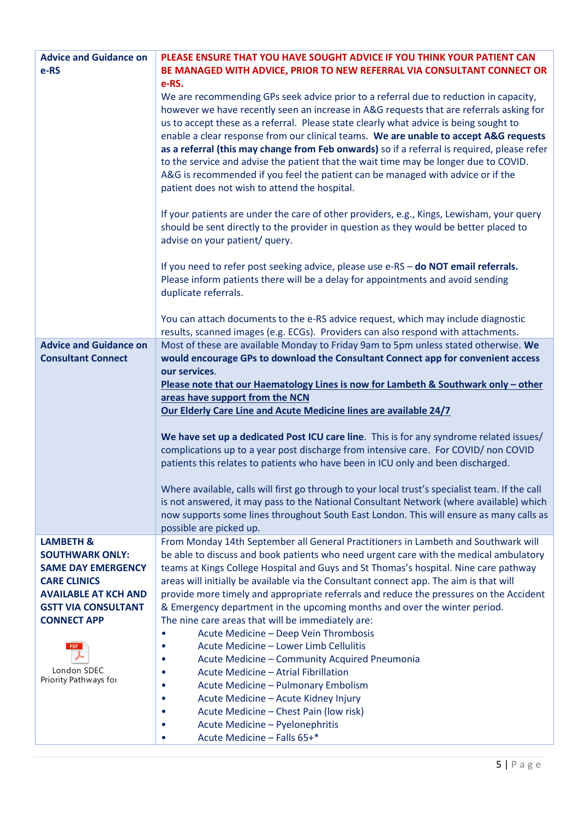| <b>Advice and Guidance on</b>        | PLEASE ENSURE THAT YOU HAVE SOUGHT ADVICE IF YOU THINK YOUR PATIENT CAN                         |
|--------------------------------------|-------------------------------------------------------------------------------------------------|
| e-RS                                 | BE MANAGED WITH ADVICE, PRIOR TO NEW REFERRAL VIA CONSULTANT CONNECT OR                         |
|                                      | e-RS.                                                                                           |
|                                      | We are recommending GPs seek advice prior to a referral due to reduction in capacity,           |
|                                      | however we have recently seen an increase in A&G requests that are referrals asking for         |
|                                      | us to accept these as a referral. Please state clearly what advice is being sought to           |
|                                      | enable a clear response from our clinical teams. We are unable to accept A&G requests           |
|                                      | as a referral (this may change from Feb onwards) so if a referral is required, please refer     |
|                                      | to the service and advise the patient that the wait time may be longer due to COVID.            |
|                                      | A&G is recommended if you feel the patient can be managed with advice or if the                 |
|                                      | patient does not wish to attend the hospital.                                                   |
|                                      |                                                                                                 |
|                                      | If your patients are under the care of other providers, e.g., Kings, Lewisham, your query       |
|                                      | should be sent directly to the provider in question as they would be better placed to           |
|                                      | advise on your patient/ query.                                                                  |
|                                      |                                                                                                 |
|                                      | If you need to refer post seeking advice, please use e-RS - do NOT email referrals.             |
|                                      | Please inform patients there will be a delay for appointments and avoid sending                 |
|                                      | duplicate referrals.                                                                            |
|                                      |                                                                                                 |
|                                      | You can attach documents to the e-RS advice request, which may include diagnostic               |
|                                      | results, scanned images (e.g. ECGs). Providers can also respond with attachments.               |
| <b>Advice and Guidance on</b>        | Most of these are available Monday to Friday 9am to 5pm unless stated otherwise. We             |
| <b>Consultant Connect</b>            | would encourage GPs to download the Consultant Connect app for convenient access                |
|                                      | our services.                                                                                   |
|                                      | Please note that our Haematology Lines is now for Lambeth & Southwark only - other              |
|                                      | areas have support from the NCN                                                                 |
|                                      | Our Elderly Care Line and Acute Medicine lines are available 24/7                               |
|                                      | We have set up a dedicated Post ICU care line. This is for any syndrome related issues/         |
|                                      | complications up to a year post discharge from intensive care. For COVID/ non COVID             |
|                                      | patients this relates to patients who have been in ICU only and been discharged.                |
|                                      |                                                                                                 |
|                                      | Where available, calls will first go through to your local trust's specialist team. If the call |
|                                      | is not answered, it may pass to the National Consultant Network (where available) which         |
|                                      | now supports some lines throughout South East London. This will ensure as many calls as         |
|                                      | possible are picked up.                                                                         |
| <b>LAMBETH &amp;</b>                 | From Monday 14th September all General Practitioners in Lambeth and Southwark will              |
| <b>SOUTHWARK ONLY:</b>               | be able to discuss and book patients who need urgent care with the medical ambulatory           |
| <b>SAME DAY EMERGENCY</b>            | teams at Kings College Hospital and Guys and St Thomas's hospital. Nine care pathway            |
| <b>CARE CLINICS</b>                  | areas will initially be available via the Consultant connect app. The aim is that will          |
| <b>AVAILABLE AT KCH AND</b>          | provide more timely and appropriate referrals and reduce the pressures on the Accident          |
| <b>GSTT VIA CONSULTANT</b>           | & Emergency department in the upcoming months and over the winter period.                       |
| <b>CONNECT APP</b>                   | The nine care areas that will be immediately are:                                               |
|                                      | Acute Medicine - Deep Vein Thrombosis                                                           |
| PDF.                                 | Acute Medicine - Lower Limb Cellulitis<br>$\bullet$                                             |
|                                      | Acute Medicine - Community Acquired Pneumonia<br>٠                                              |
| London SDEC<br>Priority Pathways for | Acute Medicine - Atrial Fibrillation<br>$\bullet$                                               |
|                                      | Acute Medicine - Pulmonary Embolism                                                             |
|                                      | Acute Medicine - Acute Kidney Injury<br>٠                                                       |
|                                      | Acute Medicine - Chest Pain (low risk)<br>٠                                                     |
|                                      | Acute Medicine - Pyelonephritis<br>$\bullet$                                                    |
|                                      | Acute Medicine - Falls 65+*<br>٠                                                                |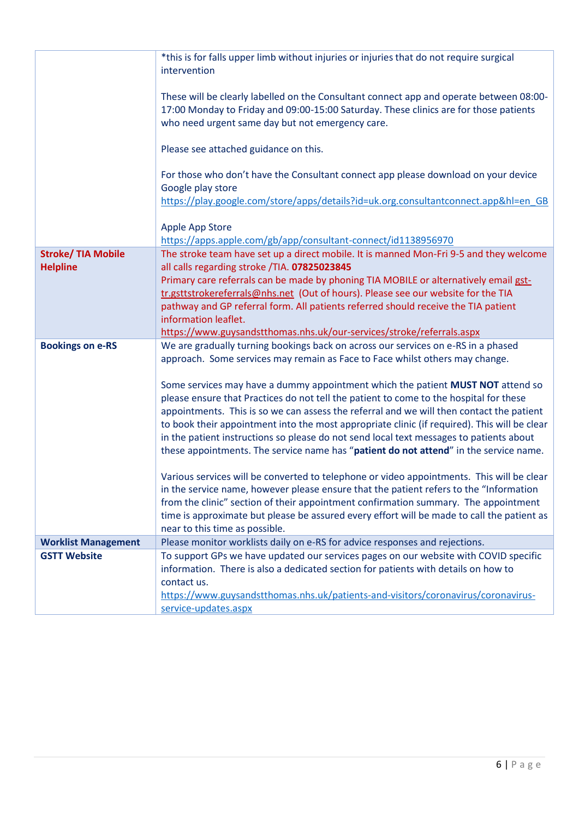|                                              | *this is for falls upper limb without injuries or injuries that do not require surgical<br>intervention                                                                                                                                                                                                                                                                                                                                                                                                                                                   |
|----------------------------------------------|-----------------------------------------------------------------------------------------------------------------------------------------------------------------------------------------------------------------------------------------------------------------------------------------------------------------------------------------------------------------------------------------------------------------------------------------------------------------------------------------------------------------------------------------------------------|
|                                              | These will be clearly labelled on the Consultant connect app and operate between 08:00-<br>17:00 Monday to Friday and 09:00-15:00 Saturday. These clinics are for those patients<br>who need urgent same day but not emergency care.                                                                                                                                                                                                                                                                                                                      |
|                                              | Please see attached guidance on this.                                                                                                                                                                                                                                                                                                                                                                                                                                                                                                                     |
|                                              | For those who don't have the Consultant connect app please download on your device<br>Google play store<br>https://play.google.com/store/apps/details?id=uk.org.consultantconnect.app&hl=en_GB                                                                                                                                                                                                                                                                                                                                                            |
|                                              | Apple App Store<br>https://apps.apple.com/gb/app/consultant-connect/id1138956970                                                                                                                                                                                                                                                                                                                                                                                                                                                                          |
| <b>Stroke/ TIA Mobile</b><br><b>Helpline</b> | The stroke team have set up a direct mobile. It is manned Mon-Fri 9-5 and they welcome<br>all calls regarding stroke /TIA. 07825023845<br>Primary care referrals can be made by phoning TIA MOBILE or alternatively email gst-                                                                                                                                                                                                                                                                                                                            |
|                                              | tr.gsttstrokereferrals@nhs.net (Out of hours). Please see our website for the TIA                                                                                                                                                                                                                                                                                                                                                                                                                                                                         |
|                                              | pathway and GP referral form. All patients referred should receive the TIA patient<br>information leaflet.                                                                                                                                                                                                                                                                                                                                                                                                                                                |
|                                              | https://www.guysandstthomas.nhs.uk/our-services/stroke/referrals.aspx                                                                                                                                                                                                                                                                                                                                                                                                                                                                                     |
| <b>Bookings on e-RS</b>                      | We are gradually turning bookings back on across our services on e-RS in a phased<br>approach. Some services may remain as Face to Face whilst others may change.                                                                                                                                                                                                                                                                                                                                                                                         |
|                                              | Some services may have a dummy appointment which the patient MUST NOT attend so<br>please ensure that Practices do not tell the patient to come to the hospital for these<br>appointments. This is so we can assess the referral and we will then contact the patient<br>to book their appointment into the most appropriate clinic (if required). This will be clear<br>in the patient instructions so please do not send local text messages to patients about<br>these appointments. The service name has "patient do not attend" in the service name. |
|                                              | Various services will be converted to telephone or video appointments. This will be clear<br>in the service name, however please ensure that the patient refers to the "Information"<br>from the clinic" section of their appointment confirmation summary. The appointment<br>time is approximate but please be assured every effort will be made to call the patient as<br>near to this time as possible.                                                                                                                                               |
| <b>Worklist Management</b>                   | Please monitor worklists daily on e-RS for advice responses and rejections.                                                                                                                                                                                                                                                                                                                                                                                                                                                                               |
| <b>GSTT Website</b>                          | To support GPs we have updated our services pages on our website with COVID specific<br>information. There is also a dedicated section for patients with details on how to<br>contact us.<br>https://www.guysandstthomas.nhs.uk/patients-and-visitors/coronavirus/coronavirus-<br>service-updates.aspx                                                                                                                                                                                                                                                    |
|                                              |                                                                                                                                                                                                                                                                                                                                                                                                                                                                                                                                                           |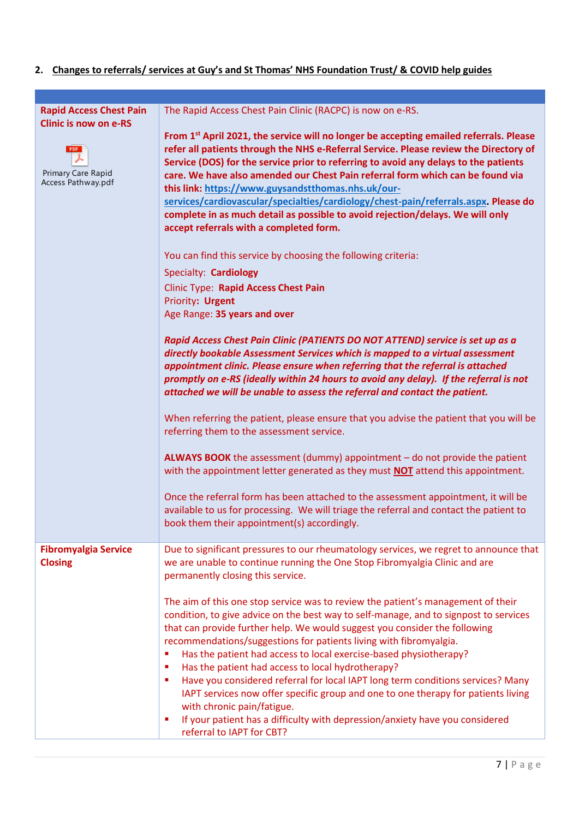## **2. Changes to referrals/ services at Guy's and St Thomas' NHS Foundation Trust/ & COVID help guides**

| <b>Rapid Access Chest Pain</b><br><b>Clinic is now on e-RS</b> | The Rapid Access Chest Pain Clinic (RACPC) is now on e-RS.                                                                                                                                                                                                                                                                                                                                                                                                                                                                                                                                                                                                                                                                                                                                     |
|----------------------------------------------------------------|------------------------------------------------------------------------------------------------------------------------------------------------------------------------------------------------------------------------------------------------------------------------------------------------------------------------------------------------------------------------------------------------------------------------------------------------------------------------------------------------------------------------------------------------------------------------------------------------------------------------------------------------------------------------------------------------------------------------------------------------------------------------------------------------|
| PDF <sup>1</sup><br>Primary Care Rapid<br>Access Pathway.pdf   | From 1 <sup>st</sup> April 2021, the service will no longer be accepting emailed referrals. Please<br>refer all patients through the NHS e-Referral Service. Please review the Directory of<br>Service (DOS) for the service prior to referring to avoid any delays to the patients<br>care. We have also amended our Chest Pain referral form which can be found via<br>this link: https://www.guysandstthomas.nhs.uk/our-<br>services/cardiovascular/specialties/cardiology/chest-pain/referrals.aspx. Please do<br>complete in as much detail as possible to avoid rejection/delays. We will only<br>accept referrals with a completed form.                                                                                                                                                |
|                                                                | You can find this service by choosing the following criteria:                                                                                                                                                                                                                                                                                                                                                                                                                                                                                                                                                                                                                                                                                                                                  |
|                                                                | Specialty: Cardiology                                                                                                                                                                                                                                                                                                                                                                                                                                                                                                                                                                                                                                                                                                                                                                          |
|                                                                | <b>Clinic Type: Rapid Access Chest Pain</b>                                                                                                                                                                                                                                                                                                                                                                                                                                                                                                                                                                                                                                                                                                                                                    |
|                                                                | Priority: Urgent                                                                                                                                                                                                                                                                                                                                                                                                                                                                                                                                                                                                                                                                                                                                                                               |
|                                                                | Age Range: 35 years and over                                                                                                                                                                                                                                                                                                                                                                                                                                                                                                                                                                                                                                                                                                                                                                   |
|                                                                | Rapid Access Chest Pain Clinic (PATIENTS DO NOT ATTEND) service is set up as a<br>directly bookable Assessment Services which is mapped to a virtual assessment<br>appointment clinic. Please ensure when referring that the referral is attached<br>promptly on e-RS (ideally within 24 hours to avoid any delay). If the referral is not<br>attached we will be unable to assess the referral and contact the patient.                                                                                                                                                                                                                                                                                                                                                                       |
|                                                                | When referring the patient, please ensure that you advise the patient that you will be<br>referring them to the assessment service.                                                                                                                                                                                                                                                                                                                                                                                                                                                                                                                                                                                                                                                            |
|                                                                | ALWAYS BOOK the assessment (dummy) appointment - do not provide the patient<br>with the appointment letter generated as they must NOT attend this appointment.                                                                                                                                                                                                                                                                                                                                                                                                                                                                                                                                                                                                                                 |
|                                                                | Once the referral form has been attached to the assessment appointment, it will be<br>available to us for processing. We will triage the referral and contact the patient to<br>book them their appointment(s) accordingly.                                                                                                                                                                                                                                                                                                                                                                                                                                                                                                                                                                    |
| <b>Fibromyalgia Service</b><br><b>Closing</b>                  | Due to significant pressures to our rheumatology services, we regret to announce that<br>we are unable to continue running the One Stop Fibromyalgia Clinic and are<br>permanently closing this service.                                                                                                                                                                                                                                                                                                                                                                                                                                                                                                                                                                                       |
|                                                                | The aim of this one stop service was to review the patient's management of their<br>condition, to give advice on the best way to self-manage, and to signpost to services<br>that can provide further help. We would suggest you consider the following<br>recommendations/suggestions for patients living with fibromyalgia.<br>Has the patient had access to local exercise-based physiotherapy?<br>п<br>Has the patient had access to local hydrotherapy?<br>٠<br>Have you considered referral for local IAPT long term conditions services? Many<br>п<br>IAPT services now offer specific group and one to one therapy for patients living<br>with chronic pain/fatigue.<br>If your patient has a difficulty with depression/anxiety have you considered<br>٠<br>referral to IAPT for CBT? |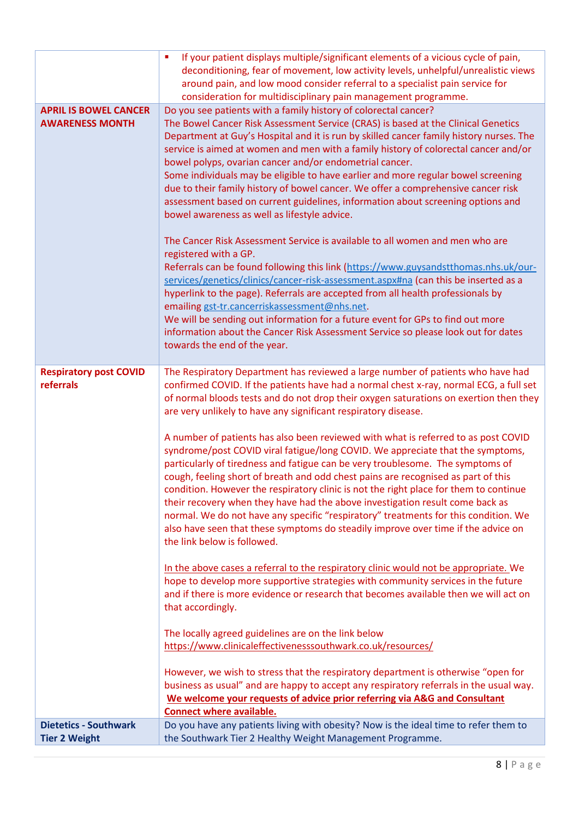| around pain, and low mood consider referral to a specialist pain service for<br>consideration for multidisciplinary pain management programme.                                                                                                                                                                                                                                                                                                                                                                                                                                                                                                                                                                                                                                                                                                                                                                                                                                                                                                                                                                                                                                                                                                                                                                                                                                                                                                                                                                                                                                                                                                                                                                                                                                                    |  |
|---------------------------------------------------------------------------------------------------------------------------------------------------------------------------------------------------------------------------------------------------------------------------------------------------------------------------------------------------------------------------------------------------------------------------------------------------------------------------------------------------------------------------------------------------------------------------------------------------------------------------------------------------------------------------------------------------------------------------------------------------------------------------------------------------------------------------------------------------------------------------------------------------------------------------------------------------------------------------------------------------------------------------------------------------------------------------------------------------------------------------------------------------------------------------------------------------------------------------------------------------------------------------------------------------------------------------------------------------------------------------------------------------------------------------------------------------------------------------------------------------------------------------------------------------------------------------------------------------------------------------------------------------------------------------------------------------------------------------------------------------------------------------------------------------|--|
| Do you see patients with a family history of colorectal cancer?<br><b>APRIL IS BOWEL CANCER</b><br>The Bowel Cancer Risk Assessment Service (CRAS) is based at the Clinical Genetics<br><b>AWARENESS MONTH</b><br>Department at Guy's Hospital and it is run by skilled cancer family history nurses. The<br>service is aimed at women and men with a family history of colorectal cancer and/or<br>bowel polyps, ovarian cancer and/or endometrial cancer.<br>Some individuals may be eligible to have earlier and more regular bowel screening<br>due to their family history of bowel cancer. We offer a comprehensive cancer risk<br>assessment based on current guidelines, information about screening options and<br>bowel awareness as well as lifestyle advice.                                                                                                                                                                                                                                                                                                                                                                                                                                                                                                                                                                                                                                                                                                                                                                                                                                                                                                                                                                                                                          |  |
| The Cancer Risk Assessment Service is available to all women and men who are<br>registered with a GP.<br>Referrals can be found following this link (https://www.guysandstthomas.nhs.uk/our-<br>services/genetics/clinics/cancer-risk-assessment.aspx#na (can this be inserted as a<br>hyperlink to the page). Referrals are accepted from all health professionals by<br>emailing gst-tr.cancerriskassessment@nhs.net.<br>We will be sending out information for a future event for GPs to find out more<br>information about the Cancer Risk Assessment Service so please look out for dates<br>towards the end of the year.                                                                                                                                                                                                                                                                                                                                                                                                                                                                                                                                                                                                                                                                                                                                                                                                                                                                                                                                                                                                                                                                                                                                                                    |  |
| The Respiratory Department has reviewed a large number of patients who have had<br><b>Respiratory post COVID</b><br>referrals<br>confirmed COVID. If the patients have had a normal chest x-ray, normal ECG, a full set<br>of normal bloods tests and do not drop their oxygen saturations on exertion then they<br>are very unlikely to have any significant respiratory disease.<br>A number of patients has also been reviewed with what is referred to as post COVID<br>syndrome/post COVID viral fatigue/long COVID. We appreciate that the symptoms,<br>particularly of tiredness and fatigue can be very troublesome. The symptoms of<br>cough, feeling short of breath and odd chest pains are recognised as part of this<br>condition. However the respiratory clinic is not the right place for them to continue<br>their recovery when they have had the above investigation result come back as<br>normal. We do not have any specific "respiratory" treatments for this condition. We<br>also have seen that these symptoms do steadily improve over time if the advice on<br>the link below is followed.<br>In the above cases a referral to the respiratory clinic would not be appropriate. We<br>hope to develop more supportive strategies with community services in the future<br>and if there is more evidence or research that becomes available then we will act on<br>that accordingly.<br>The locally agreed guidelines are on the link below<br>https://www.clinicaleffectivenesssouthwark.co.uk/resources/<br>However, we wish to stress that the respiratory department is otherwise "open for<br>business as usual" and are happy to accept any respiratory referrals in the usual way.<br>We welcome your requests of advice prior referring via A&G and Consultant |  |
| <b>Connect where available.</b><br><b>Dietetics - Southwark</b><br>Do you have any patients living with obesity? Now is the ideal time to refer them to<br>the Southwark Tier 2 Healthy Weight Management Programme.<br><b>Tier 2 Weight</b>                                                                                                                                                                                                                                                                                                                                                                                                                                                                                                                                                                                                                                                                                                                                                                                                                                                                                                                                                                                                                                                                                                                                                                                                                                                                                                                                                                                                                                                                                                                                                      |  |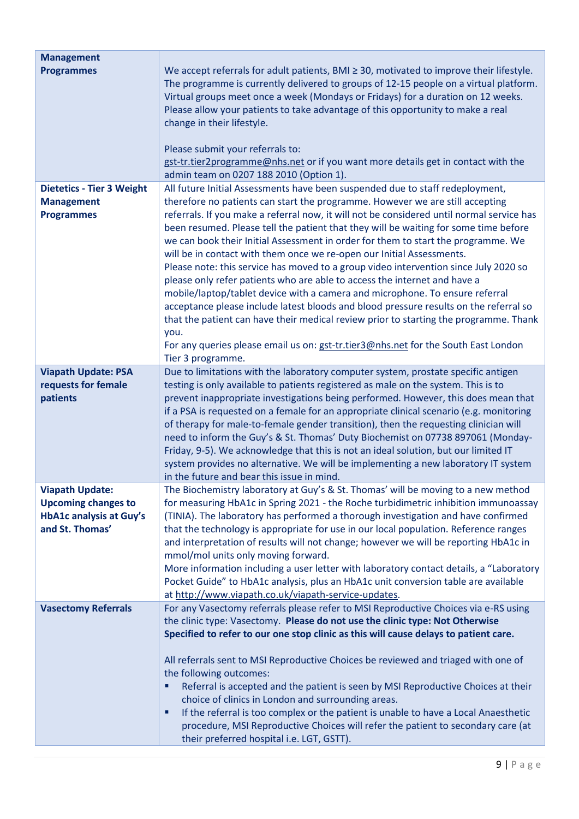| <b>Management</b>                                                                                         |                                                                                                                                                                                                                                                                                                                                                                                                                                                                                                                                                                                                                                                                                                                                                                                                                                                                                                                                                                                                                                                        |
|-----------------------------------------------------------------------------------------------------------|--------------------------------------------------------------------------------------------------------------------------------------------------------------------------------------------------------------------------------------------------------------------------------------------------------------------------------------------------------------------------------------------------------------------------------------------------------------------------------------------------------------------------------------------------------------------------------------------------------------------------------------------------------------------------------------------------------------------------------------------------------------------------------------------------------------------------------------------------------------------------------------------------------------------------------------------------------------------------------------------------------------------------------------------------------|
| <b>Programmes</b>                                                                                         | We accept referrals for adult patients, $BMI \geq 30$ , motivated to improve their lifestyle.<br>The programme is currently delivered to groups of 12-15 people on a virtual platform.<br>Virtual groups meet once a week (Mondays or Fridays) for a duration on 12 weeks.<br>Please allow your patients to take advantage of this opportunity to make a real<br>change in their lifestyle.<br>Please submit your referrals to:<br>gst-tr.tier2programme@nhs.net or if you want more details get in contact with the                                                                                                                                                                                                                                                                                                                                                                                                                                                                                                                                   |
|                                                                                                           | admin team on 0207 188 2010 (Option 1).                                                                                                                                                                                                                                                                                                                                                                                                                                                                                                                                                                                                                                                                                                                                                                                                                                                                                                                                                                                                                |
| <b>Dietetics - Tier 3 Weight</b><br><b>Management</b><br><b>Programmes</b>                                | All future Initial Assessments have been suspended due to staff redeployment,<br>therefore no patients can start the programme. However we are still accepting<br>referrals. If you make a referral now, it will not be considered until normal service has<br>been resumed. Please tell the patient that they will be waiting for some time before<br>we can book their Initial Assessment in order for them to start the programme. We<br>will be in contact with them once we re-open our Initial Assessments.<br>Please note: this service has moved to a group video intervention since July 2020 so<br>please only refer patients who are able to access the internet and have a<br>mobile/laptop/tablet device with a camera and microphone. To ensure referral<br>acceptance please include latest bloods and blood pressure results on the referral so<br>that the patient can have their medical review prior to starting the programme. Thank<br>you.<br>For any queries please email us on: gst-tr.tier3@nhs.net for the South East London |
|                                                                                                           | Tier 3 programme.                                                                                                                                                                                                                                                                                                                                                                                                                                                                                                                                                                                                                                                                                                                                                                                                                                                                                                                                                                                                                                      |
| <b>Viapath Update: PSA</b><br>requests for female<br>patients                                             | Due to limitations with the laboratory computer system, prostate specific antigen<br>testing is only available to patients registered as male on the system. This is to<br>prevent inappropriate investigations being performed. However, this does mean that<br>if a PSA is requested on a female for an appropriate clinical scenario (e.g. monitoring<br>of therapy for male-to-female gender transition), then the requesting clinician will<br>need to inform the Guy's & St. Thomas' Duty Biochemist on 07738 897061 (Monday-<br>Friday, 9-5). We acknowledge that this is not an ideal solution, but our limited IT<br>system provides no alternative. We will be implementing a new laboratory IT system<br>in the future and bear this issue in mind.                                                                                                                                                                                                                                                                                         |
| <b>Viapath Update:</b><br><b>Upcoming changes to</b><br><b>HbA1c analysis at Guy's</b><br>and St. Thomas' | The Biochemistry laboratory at Guy's & St. Thomas' will be moving to a new method<br>for measuring HbA1c in Spring 2021 - the Roche turbidimetric inhibition immunoassay<br>(TINIA). The laboratory has performed a thorough investigation and have confirmed<br>that the technology is appropriate for use in our local population. Reference ranges<br>and interpretation of results will not change; however we will be reporting HbA1c in<br>mmol/mol units only moving forward.                                                                                                                                                                                                                                                                                                                                                                                                                                                                                                                                                                   |
|                                                                                                           | More information including a user letter with laboratory contact details, a "Laboratory<br>Pocket Guide" to HbA1c analysis, plus an HbA1c unit conversion table are available<br>at http://www.viapath.co.uk/viapath-service-updates.                                                                                                                                                                                                                                                                                                                                                                                                                                                                                                                                                                                                                                                                                                                                                                                                                  |
| <b>Vasectomy Referrals</b>                                                                                | For any Vasectomy referrals please refer to MSI Reproductive Choices via e-RS using<br>the clinic type: Vasectomy. Please do not use the clinic type: Not Otherwise<br>Specified to refer to our one stop clinic as this will cause delays to patient care.<br>All referrals sent to MSI Reproductive Choices be reviewed and triaged with one of                                                                                                                                                                                                                                                                                                                                                                                                                                                                                                                                                                                                                                                                                                      |
|                                                                                                           | the following outcomes:<br>Referral is accepted and the patient is seen by MSI Reproductive Choices at their<br>٠<br>choice of clinics in London and surrounding areas.<br>If the referral is too complex or the patient is unable to have a Local Anaesthetic<br>٠<br>procedure, MSI Reproductive Choices will refer the patient to secondary care (at                                                                                                                                                                                                                                                                                                                                                                                                                                                                                                                                                                                                                                                                                                |
|                                                                                                           | their preferred hospital i.e. LGT, GSTT).                                                                                                                                                                                                                                                                                                                                                                                                                                                                                                                                                                                                                                                                                                                                                                                                                                                                                                                                                                                                              |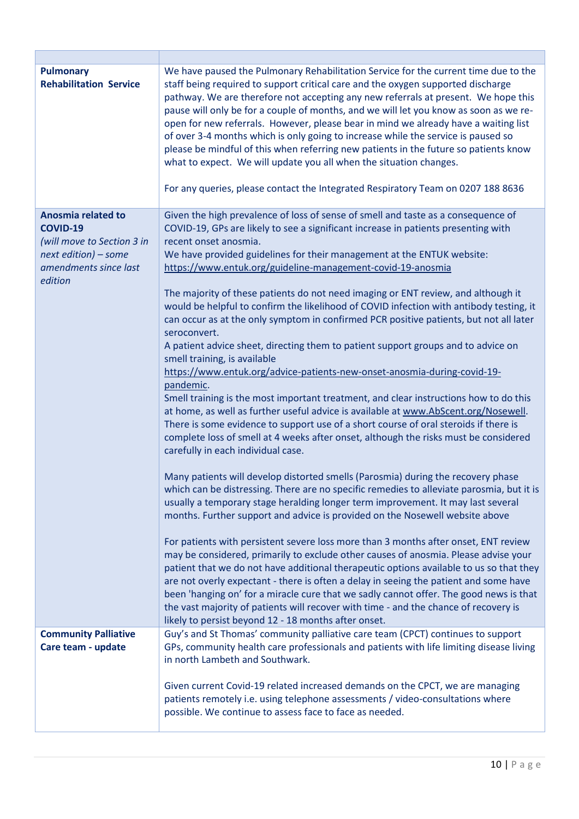| <b>Pulmonary</b><br><b>Rehabilitation Service</b>    | We have paused the Pulmonary Rehabilitation Service for the current time due to the<br>staff being required to support critical care and the oxygen supported discharge<br>pathway. We are therefore not accepting any new referrals at present. We hope this<br>pause will only be for a couple of months, and we will let you know as soon as we re-<br>open for new referrals. However, please bear in mind we already have a waiting list<br>of over 3-4 months which is only going to increase while the service is paused so<br>please be mindful of this when referring new patients in the future so patients know<br>what to expect. We will update you all when the situation changes.<br>For any queries, please contact the Integrated Respiratory Team on 0207 188 8636 |
|------------------------------------------------------|--------------------------------------------------------------------------------------------------------------------------------------------------------------------------------------------------------------------------------------------------------------------------------------------------------------------------------------------------------------------------------------------------------------------------------------------------------------------------------------------------------------------------------------------------------------------------------------------------------------------------------------------------------------------------------------------------------------------------------------------------------------------------------------|
| Anosmia related to                                   | Given the high prevalence of loss of sense of smell and taste as a consequence of                                                                                                                                                                                                                                                                                                                                                                                                                                                                                                                                                                                                                                                                                                    |
| <b>COVID-19</b>                                      | COVID-19, GPs are likely to see a significant increase in patients presenting with                                                                                                                                                                                                                                                                                                                                                                                                                                                                                                                                                                                                                                                                                                   |
| (will move to Section 3 in<br>$next$ edition) – some | recent onset anosmia.<br>We have provided guidelines for their management at the ENTUK website:                                                                                                                                                                                                                                                                                                                                                                                                                                                                                                                                                                                                                                                                                      |
| amendments since last                                | https://www.entuk.org/guideline-management-covid-19-anosmia                                                                                                                                                                                                                                                                                                                                                                                                                                                                                                                                                                                                                                                                                                                          |
| edition                                              |                                                                                                                                                                                                                                                                                                                                                                                                                                                                                                                                                                                                                                                                                                                                                                                      |
|                                                      | The majority of these patients do not need imaging or ENT review, and although it                                                                                                                                                                                                                                                                                                                                                                                                                                                                                                                                                                                                                                                                                                    |
|                                                      | would be helpful to confirm the likelihood of COVID infection with antibody testing, it                                                                                                                                                                                                                                                                                                                                                                                                                                                                                                                                                                                                                                                                                              |
|                                                      | can occur as at the only symptom in confirmed PCR positive patients, but not all later<br>seroconvert.                                                                                                                                                                                                                                                                                                                                                                                                                                                                                                                                                                                                                                                                               |
|                                                      | A patient advice sheet, directing them to patient support groups and to advice on                                                                                                                                                                                                                                                                                                                                                                                                                                                                                                                                                                                                                                                                                                    |
|                                                      | smell training, is available                                                                                                                                                                                                                                                                                                                                                                                                                                                                                                                                                                                                                                                                                                                                                         |
|                                                      | https://www.entuk.org/advice-patients-new-onset-anosmia-during-covid-19-                                                                                                                                                                                                                                                                                                                                                                                                                                                                                                                                                                                                                                                                                                             |
|                                                      | pandemic.<br>Smell training is the most important treatment, and clear instructions how to do this                                                                                                                                                                                                                                                                                                                                                                                                                                                                                                                                                                                                                                                                                   |
|                                                      | at home, as well as further useful advice is available at www.AbScent.org/Nosewell.                                                                                                                                                                                                                                                                                                                                                                                                                                                                                                                                                                                                                                                                                                  |
|                                                      | There is some evidence to support use of a short course of oral steroids if there is                                                                                                                                                                                                                                                                                                                                                                                                                                                                                                                                                                                                                                                                                                 |
|                                                      | complete loss of smell at 4 weeks after onset, although the risks must be considered                                                                                                                                                                                                                                                                                                                                                                                                                                                                                                                                                                                                                                                                                                 |
|                                                      | carefully in each individual case.                                                                                                                                                                                                                                                                                                                                                                                                                                                                                                                                                                                                                                                                                                                                                   |
|                                                      | Many patients will develop distorted smells (Parosmia) during the recovery phase                                                                                                                                                                                                                                                                                                                                                                                                                                                                                                                                                                                                                                                                                                     |
|                                                      | which can be distressing. There are no specific remedies to alleviate parosmia, but it is                                                                                                                                                                                                                                                                                                                                                                                                                                                                                                                                                                                                                                                                                            |
|                                                      | usually a temporary stage heralding longer term improvement. It may last several                                                                                                                                                                                                                                                                                                                                                                                                                                                                                                                                                                                                                                                                                                     |
|                                                      | months. Further support and advice is provided on the Nosewell website above                                                                                                                                                                                                                                                                                                                                                                                                                                                                                                                                                                                                                                                                                                         |
|                                                      | For patients with persistent severe loss more than 3 months after onset, ENT review                                                                                                                                                                                                                                                                                                                                                                                                                                                                                                                                                                                                                                                                                                  |
|                                                      | may be considered, primarily to exclude other causes of anosmia. Please advise your                                                                                                                                                                                                                                                                                                                                                                                                                                                                                                                                                                                                                                                                                                  |
|                                                      | patient that we do not have additional therapeutic options available to us so that they                                                                                                                                                                                                                                                                                                                                                                                                                                                                                                                                                                                                                                                                                              |
|                                                      | are not overly expectant - there is often a delay in seeing the patient and some have                                                                                                                                                                                                                                                                                                                                                                                                                                                                                                                                                                                                                                                                                                |
|                                                      | been 'hanging on' for a miracle cure that we sadly cannot offer. The good news is that<br>the vast majority of patients will recover with time - and the chance of recovery is                                                                                                                                                                                                                                                                                                                                                                                                                                                                                                                                                                                                       |
|                                                      | likely to persist beyond 12 - 18 months after onset.                                                                                                                                                                                                                                                                                                                                                                                                                                                                                                                                                                                                                                                                                                                                 |
| <b>Community Palliative</b>                          | Guy's and St Thomas' community palliative care team (CPCT) continues to support                                                                                                                                                                                                                                                                                                                                                                                                                                                                                                                                                                                                                                                                                                      |
| Care team - update                                   | GPs, community health care professionals and patients with life limiting disease living                                                                                                                                                                                                                                                                                                                                                                                                                                                                                                                                                                                                                                                                                              |
|                                                      | in north Lambeth and Southwark.                                                                                                                                                                                                                                                                                                                                                                                                                                                                                                                                                                                                                                                                                                                                                      |
|                                                      | Given current Covid-19 related increased demands on the CPCT, we are managing                                                                                                                                                                                                                                                                                                                                                                                                                                                                                                                                                                                                                                                                                                        |
|                                                      | patients remotely i.e. using telephone assessments / video-consultations where                                                                                                                                                                                                                                                                                                                                                                                                                                                                                                                                                                                                                                                                                                       |
|                                                      | possible. We continue to assess face to face as needed.                                                                                                                                                                                                                                                                                                                                                                                                                                                                                                                                                                                                                                                                                                                              |
|                                                      |                                                                                                                                                                                                                                                                                                                                                                                                                                                                                                                                                                                                                                                                                                                                                                                      |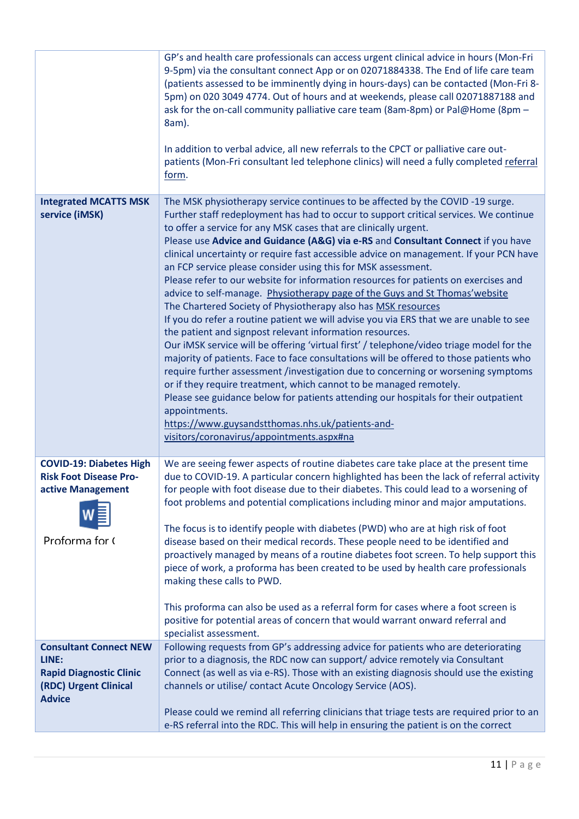|                                                                                                        | GP's and health care professionals can access urgent clinical advice in hours (Mon-Fri<br>9-5pm) via the consultant connect App or on 02071884338. The End of life care team<br>(patients assessed to be imminently dying in hours-days) can be contacted (Mon-Fri 8-<br>5pm) on 020 3049 4774. Out of hours and at weekends, please call 02071887188 and<br>ask for the on-call community palliative care team (8am-8pm) or Pal@Home (8pm -<br>8am).<br>In addition to verbal advice, all new referrals to the CPCT or palliative care out-<br>patients (Mon-Fri consultant led telephone clinics) will need a fully completed referral<br>form.                                                                                                                                                                                                                                                                                                                                                                                                                                                                                                                                                                                                                                                                                                                                                                                                 |
|--------------------------------------------------------------------------------------------------------|---------------------------------------------------------------------------------------------------------------------------------------------------------------------------------------------------------------------------------------------------------------------------------------------------------------------------------------------------------------------------------------------------------------------------------------------------------------------------------------------------------------------------------------------------------------------------------------------------------------------------------------------------------------------------------------------------------------------------------------------------------------------------------------------------------------------------------------------------------------------------------------------------------------------------------------------------------------------------------------------------------------------------------------------------------------------------------------------------------------------------------------------------------------------------------------------------------------------------------------------------------------------------------------------------------------------------------------------------------------------------------------------------------------------------------------------------|
| <b>Integrated MCATTS MSK</b><br>service (iMSK)                                                         | The MSK physiotherapy service continues to be affected by the COVID-19 surge.<br>Further staff redeployment has had to occur to support critical services. We continue<br>to offer a service for any MSK cases that are clinically urgent.<br>Please use Advice and Guidance (A&G) via e-RS and Consultant Connect if you have<br>clinical uncertainty or require fast accessible advice on management. If your PCN have<br>an FCP service please consider using this for MSK assessment.<br>Please refer to our website for information resources for patients on exercises and<br>advice to self-manage. Physiotherapy page of the Guys and St Thomas' website<br>The Chartered Society of Physiotherapy also has MSK resources<br>If you do refer a routine patient we will advise you via ERS that we are unable to see<br>the patient and signpost relevant information resources.<br>Our iMSK service will be offering 'virtual first' / telephone/video triage model for the<br>majority of patients. Face to face consultations will be offered to those patients who<br>require further assessment /investigation due to concerning or worsening symptoms<br>or if they require treatment, which cannot to be managed remotely.<br>Please see guidance below for patients attending our hospitals for their outpatient<br>appointments.<br>https://www.guysandstthomas.nhs.uk/patients-and-<br>visitors/coronavirus/appointments.aspx#na |
| <b>COVID-19: Diabetes High</b><br><b>Risk Foot Disease Pro-</b><br>active Management<br>Proforma for ( | We are seeing fewer aspects of routine diabetes care take place at the present time<br>due to COVID-19. A particular concern highlighted has been the lack of referral activity<br>for people with foot disease due to their diabetes. This could lead to a worsening of<br>foot problems and potential complications including minor and major amputations.<br>The focus is to identify people with diabetes (PWD) who are at high risk of foot<br>disease based on their medical records. These people need to be identified and<br>proactively managed by means of a routine diabetes foot screen. To help support this<br>piece of work, a proforma has been created to be used by health care professionals<br>making these calls to PWD.<br>This proforma can also be used as a referral form for cases where a foot screen is                                                                                                                                                                                                                                                                                                                                                                                                                                                                                                                                                                                                              |
|                                                                                                        | positive for potential areas of concern that would warrant onward referral and<br>specialist assessment.                                                                                                                                                                                                                                                                                                                                                                                                                                                                                                                                                                                                                                                                                                                                                                                                                                                                                                                                                                                                                                                                                                                                                                                                                                                                                                                                          |
| <b>Consultant Connect NEW</b>                                                                          | Following requests from GP's addressing advice for patients who are deteriorating                                                                                                                                                                                                                                                                                                                                                                                                                                                                                                                                                                                                                                                                                                                                                                                                                                                                                                                                                                                                                                                                                                                                                                                                                                                                                                                                                                 |
| LINE:                                                                                                  | prior to a diagnosis, the RDC now can support/ advice remotely via Consultant                                                                                                                                                                                                                                                                                                                                                                                                                                                                                                                                                                                                                                                                                                                                                                                                                                                                                                                                                                                                                                                                                                                                                                                                                                                                                                                                                                     |
| <b>Rapid Diagnostic Clinic</b><br>(RDC) Urgent Clinical<br><b>Advice</b>                               | Connect (as well as via e-RS). Those with an existing diagnosis should use the existing<br>channels or utilise/ contact Acute Oncology Service (AOS).                                                                                                                                                                                                                                                                                                                                                                                                                                                                                                                                                                                                                                                                                                                                                                                                                                                                                                                                                                                                                                                                                                                                                                                                                                                                                             |
|                                                                                                        | Please could we remind all referring clinicians that triage tests are required prior to an<br>e-RS referral into the RDC. This will help in ensuring the patient is on the correct                                                                                                                                                                                                                                                                                                                                                                                                                                                                                                                                                                                                                                                                                                                                                                                                                                                                                                                                                                                                                                                                                                                                                                                                                                                                |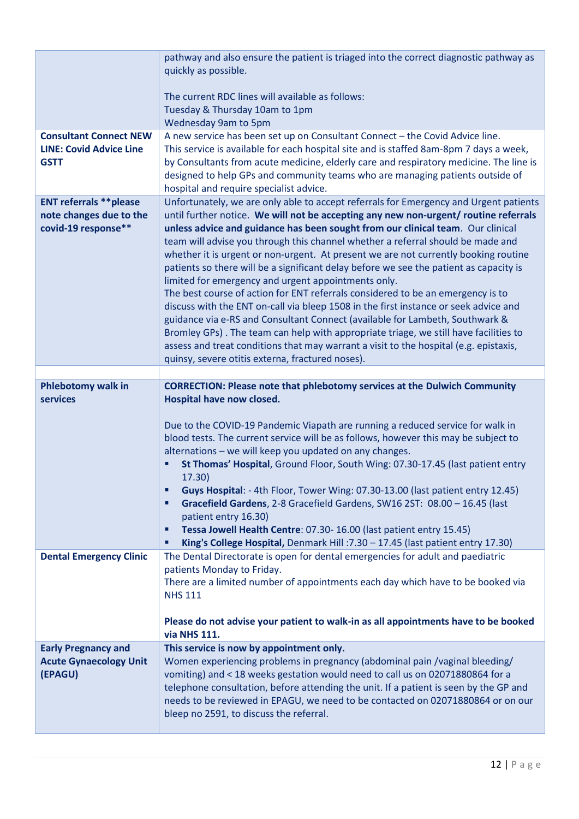|                                                                                  | pathway and also ensure the patient is triaged into the correct diagnostic pathway as<br>quickly as possible.<br>The current RDC lines will available as follows:<br>Tuesday & Thursday 10am to 1pm<br>Wednesday 9am to 5pm                                                                                                                                                                                                                                                                                                                                                                                                                                                                                                                                                                                                                                                                                                                                                                                                                                                                 |
|----------------------------------------------------------------------------------|---------------------------------------------------------------------------------------------------------------------------------------------------------------------------------------------------------------------------------------------------------------------------------------------------------------------------------------------------------------------------------------------------------------------------------------------------------------------------------------------------------------------------------------------------------------------------------------------------------------------------------------------------------------------------------------------------------------------------------------------------------------------------------------------------------------------------------------------------------------------------------------------------------------------------------------------------------------------------------------------------------------------------------------------------------------------------------------------|
| <b>Consultant Connect NEW</b><br><b>LINE: Covid Advice Line</b><br><b>GSTT</b>   | A new service has been set up on Consultant Connect - the Covid Advice line.<br>This service is available for each hospital site and is staffed 8am-8pm 7 days a week,<br>by Consultants from acute medicine, elderly care and respiratory medicine. The line is<br>designed to help GPs and community teams who are managing patients outside of<br>hospital and require specialist advice.                                                                                                                                                                                                                                                                                                                                                                                                                                                                                                                                                                                                                                                                                                |
| <b>ENT referrals ** please</b><br>note changes due to the<br>covid-19 response** | Unfortunately, we are only able to accept referrals for Emergency and Urgent patients<br>until further notice. We will not be accepting any new non-urgent/ routine referrals<br>unless advice and guidance has been sought from our clinical team. Our clinical<br>team will advise you through this channel whether a referral should be made and<br>whether it is urgent or non-urgent. At present we are not currently booking routine<br>patients so there will be a significant delay before we see the patient as capacity is<br>limited for emergency and urgent appointments only.<br>The best course of action for ENT referrals considered to be an emergency is to<br>discuss with the ENT on-call via bleep 1508 in the first instance or seek advice and<br>guidance via e-RS and Consultant Connect (available for Lambeth, Southwark &<br>Bromley GPs). The team can help with appropriate triage, we still have facilities to<br>assess and treat conditions that may warrant a visit to the hospital (e.g. epistaxis,<br>quinsy, severe otitis externa, fractured noses). |
|                                                                                  |                                                                                                                                                                                                                                                                                                                                                                                                                                                                                                                                                                                                                                                                                                                                                                                                                                                                                                                                                                                                                                                                                             |
| <b>Phlebotomy walk in</b><br><b>services</b>                                     | <b>CORRECTION: Please note that phlebotomy services at the Dulwich Community</b><br>Hospital have now closed.                                                                                                                                                                                                                                                                                                                                                                                                                                                                                                                                                                                                                                                                                                                                                                                                                                                                                                                                                                               |
|                                                                                  | Due to the COVID-19 Pandemic Viapath are running a reduced service for walk in<br>blood tests. The current service will be as follows, however this may be subject to<br>alternations - we will keep you updated on any changes.<br>St Thomas' Hospital, Ground Floor, South Wing: 07.30-17.45 (last patient entry<br>٠<br>17.30)<br>Guys Hospital: - 4th Floor, Tower Wing: 07.30-13.00 (last patient entry 12.45)<br>٠<br>Gracefield Gardens, 2-8 Gracefield Gardens, SW16 2ST: 08.00 - 16.45 (last<br>п<br>patient entry 16.30)<br>Tessa Jowell Health Centre: 07.30-16.00 (last patient entry 15.45)<br>٠<br>King's College Hospital, Denmark Hill: 7.30 - 17.45 (last patient entry 17.30)<br>п                                                                                                                                                                                                                                                                                                                                                                                        |
| <b>Dental Emergency Clinic</b>                                                   | The Dental Directorate is open for dental emergencies for adult and paediatric<br>patients Monday to Friday.<br>There are a limited number of appointments each day which have to be booked via<br><b>NHS 111</b>                                                                                                                                                                                                                                                                                                                                                                                                                                                                                                                                                                                                                                                                                                                                                                                                                                                                           |
|                                                                                  | Please do not advise your patient to walk-in as all appointments have to be booked<br>via NHS 111.                                                                                                                                                                                                                                                                                                                                                                                                                                                                                                                                                                                                                                                                                                                                                                                                                                                                                                                                                                                          |
| <b>Early Pregnancy and</b><br><b>Acute Gynaecology Unit</b><br>(EPAGU)           | This service is now by appointment only.<br>Women experiencing problems in pregnancy (abdominal pain /vaginal bleeding/<br>vomiting) and < 18 weeks gestation would need to call us on 02071880864 for a<br>telephone consultation, before attending the unit. If a patient is seen by the GP and<br>needs to be reviewed in EPAGU, we need to be contacted on 02071880864 or on our<br>bleep no 2591, to discuss the referral.                                                                                                                                                                                                                                                                                                                                                                                                                                                                                                                                                                                                                                                             |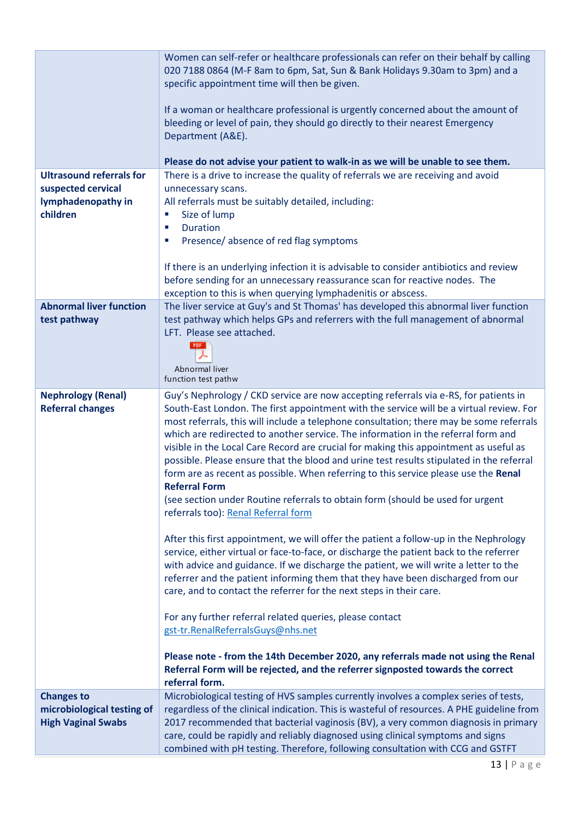|                                 | Women can self-refer or healthcare professionals can refer on their behalf by calling<br>020 7188 0864 (M-F 8am to 6pm, Sat, Sun & Bank Holidays 9.30am to 3pm) and a<br>specific appointment time will then be given.<br>If a woman or healthcare professional is urgently concerned about the amount of<br>bleeding or level of pain, they should go directly to their nearest Emergency<br>Department (A&E).                                                                                                                                                             |
|---------------------------------|-----------------------------------------------------------------------------------------------------------------------------------------------------------------------------------------------------------------------------------------------------------------------------------------------------------------------------------------------------------------------------------------------------------------------------------------------------------------------------------------------------------------------------------------------------------------------------|
|                                 | Please do not advise your patient to walk-in as we will be unable to see them.                                                                                                                                                                                                                                                                                                                                                                                                                                                                                              |
| <b>Ultrasound referrals for</b> | There is a drive to increase the quality of referrals we are receiving and avoid                                                                                                                                                                                                                                                                                                                                                                                                                                                                                            |
| suspected cervical              | unnecessary scans.                                                                                                                                                                                                                                                                                                                                                                                                                                                                                                                                                          |
| lymphadenopathy in              | All referrals must be suitably detailed, including:                                                                                                                                                                                                                                                                                                                                                                                                                                                                                                                         |
| children                        | Size of lump<br>$\blacksquare$                                                                                                                                                                                                                                                                                                                                                                                                                                                                                                                                              |
|                                 | <b>Duration</b><br>п                                                                                                                                                                                                                                                                                                                                                                                                                                                                                                                                                        |
|                                 | Presence/absence of red flag symptoms<br>п                                                                                                                                                                                                                                                                                                                                                                                                                                                                                                                                  |
|                                 |                                                                                                                                                                                                                                                                                                                                                                                                                                                                                                                                                                             |
|                                 |                                                                                                                                                                                                                                                                                                                                                                                                                                                                                                                                                                             |
|                                 | If there is an underlying infection it is advisable to consider antibiotics and review                                                                                                                                                                                                                                                                                                                                                                                                                                                                                      |
|                                 | before sending for an unnecessary reassurance scan for reactive nodes. The                                                                                                                                                                                                                                                                                                                                                                                                                                                                                                  |
|                                 | exception to this is when querying lymphadenitis or abscess.                                                                                                                                                                                                                                                                                                                                                                                                                                                                                                                |
| <b>Abnormal liver function</b>  | The liver service at Guy's and St Thomas' has developed this abnormal liver function                                                                                                                                                                                                                                                                                                                                                                                                                                                                                        |
| test pathway                    | test pathway which helps GPs and referrers with the full management of abnormal                                                                                                                                                                                                                                                                                                                                                                                                                                                                                             |
|                                 | LFT. Please see attached.                                                                                                                                                                                                                                                                                                                                                                                                                                                                                                                                                   |
|                                 | PDF                                                                                                                                                                                                                                                                                                                                                                                                                                                                                                                                                                         |
|                                 |                                                                                                                                                                                                                                                                                                                                                                                                                                                                                                                                                                             |
|                                 | Abnormal liver                                                                                                                                                                                                                                                                                                                                                                                                                                                                                                                                                              |
|                                 | function test pathw                                                                                                                                                                                                                                                                                                                                                                                                                                                                                                                                                         |
| <b>Nephrology (Renal)</b>       | Guy's Nephrology / CKD service are now accepting referrals via e-RS, for patients in                                                                                                                                                                                                                                                                                                                                                                                                                                                                                        |
| <b>Referral changes</b>         | South-East London. The first appointment with the service will be a virtual review. For<br>most referrals, this will include a telephone consultation; there may be some referrals<br>which are redirected to another service. The information in the referral form and<br>visible in the Local Care Record are crucial for making this appointment as useful as<br>possible. Please ensure that the blood and urine test results stipulated in the referral<br>form are as recent as possible. When referring to this service please use the Renal<br><b>Referral Form</b> |
|                                 | (see section under Routine referrals to obtain form (should be used for urgent<br>referrals too): Renal Referral form                                                                                                                                                                                                                                                                                                                                                                                                                                                       |
|                                 | After this first appointment, we will offer the patient a follow-up in the Nephrology<br>service, either virtual or face-to-face, or discharge the patient back to the referrer<br>with advice and guidance. If we discharge the patient, we will write a letter to the<br>referrer and the patient informing them that they have been discharged from our<br>care, and to contact the referrer for the next steps in their care.                                                                                                                                           |
|                                 | For any further referral related queries, please contact<br>gst-tr.RenalReferralsGuys@nhs.net                                                                                                                                                                                                                                                                                                                                                                                                                                                                               |
|                                 | Please note - from the 14th December 2020, any referrals made not using the Renal<br>Referral Form will be rejected, and the referrer signposted towards the correct<br>referral form.                                                                                                                                                                                                                                                                                                                                                                                      |
| <b>Changes to</b>               | Microbiological testing of HVS samples currently involves a complex series of tests,                                                                                                                                                                                                                                                                                                                                                                                                                                                                                        |
| microbiological testing of      | regardless of the clinical indication. This is wasteful of resources. A PHE guideline from                                                                                                                                                                                                                                                                                                                                                                                                                                                                                  |
| <b>High Vaginal Swabs</b>       | 2017 recommended that bacterial vaginosis (BV), a very common diagnosis in primary                                                                                                                                                                                                                                                                                                                                                                                                                                                                                          |
|                                 | care, could be rapidly and reliably diagnosed using clinical symptoms and signs                                                                                                                                                                                                                                                                                                                                                                                                                                                                                             |
|                                 | combined with pH testing. Therefore, following consultation with CCG and GSTFT                                                                                                                                                                                                                                                                                                                                                                                                                                                                                              |
|                                 |                                                                                                                                                                                                                                                                                                                                                                                                                                                                                                                                                                             |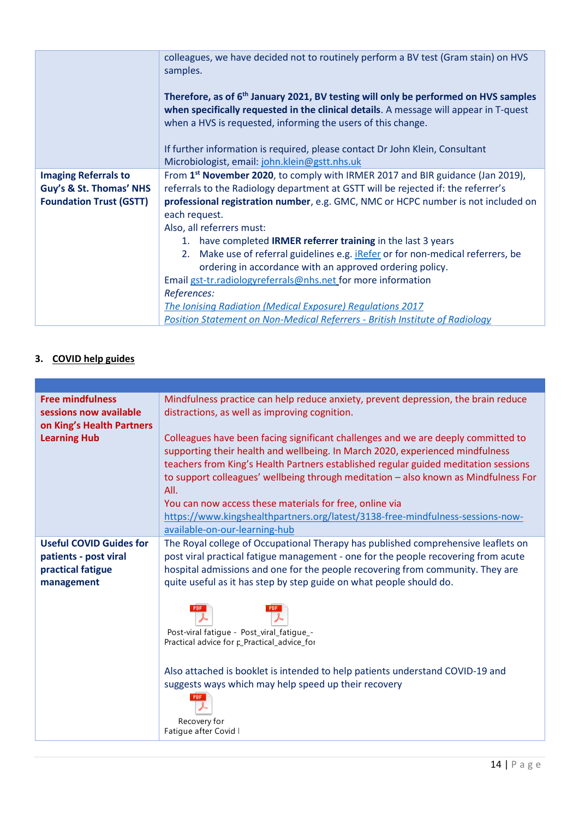|                                                                                          | colleagues, we have decided not to routinely perform a BV test (Gram stain) on HVS<br>samples.                                                                                                                                                                                        |
|------------------------------------------------------------------------------------------|---------------------------------------------------------------------------------------------------------------------------------------------------------------------------------------------------------------------------------------------------------------------------------------|
|                                                                                          | Therefore, as of 6 <sup>th</sup> January 2021, BV testing will only be performed on HVS samples<br>when specifically requested in the clinical details. A message will appear in T-quest<br>when a HVS is requested, informing the users of this change.                              |
|                                                                                          | If further information is required, please contact Dr John Klein, Consultant<br>Microbiologist, email: john.klein@gstt.nhs.uk                                                                                                                                                         |
| <b>Imaging Referrals to</b><br>Guy's & St. Thomas' NHS<br><b>Foundation Trust (GSTT)</b> | From 1 <sup>st</sup> November 2020, to comply with IRMER 2017 and BIR guidance (Jan 2019),<br>referrals to the Radiology department at GSTT will be rejected if: the referrer's<br>professional registration number, e.g. GMC, NMC or HCPC number is not included on<br>each request. |
|                                                                                          | Also, all referrers must:<br>1. have completed <b>IRMER referrer training</b> in the last 3 years                                                                                                                                                                                     |
|                                                                                          | 2. Make use of referral guidelines e.g. <i>iRefer</i> or for non-medical referrers, be<br>ordering in accordance with an approved ordering policy.                                                                                                                                    |
|                                                                                          | Email gst-tr.radiologyreferrals@nhs.net for more information<br>References:                                                                                                                                                                                                           |
|                                                                                          | The Ionising Radiation (Medical Exposure) Regulations 2017<br><b>Position Statement on Non-Medical Referrers - British Institute of Radiology</b>                                                                                                                                     |

## **3. COVID help guides**

| <b>Free mindfulness</b>        | Mindfulness practice can help reduce anxiety, prevent depression, the brain reduce                                                                                                                                                                                                                                                               |
|--------------------------------|--------------------------------------------------------------------------------------------------------------------------------------------------------------------------------------------------------------------------------------------------------------------------------------------------------------------------------------------------|
| sessions now available         | distractions, as well as improving cognition.                                                                                                                                                                                                                                                                                                    |
| on King's Health Partners      |                                                                                                                                                                                                                                                                                                                                                  |
| <b>Learning Hub</b>            | Colleagues have been facing significant challenges and we are deeply committed to<br>supporting their health and wellbeing. In March 2020, experienced mindfulness<br>teachers from King's Health Partners established regular guided meditation sessions<br>to support colleagues' wellbeing through meditation - also known as Mindfulness For |
|                                | All.                                                                                                                                                                                                                                                                                                                                             |
|                                | You can now access these materials for free, online via                                                                                                                                                                                                                                                                                          |
|                                | https://www.kingshealthpartners.org/latest/3138-free-mindfulness-sessions-now-                                                                                                                                                                                                                                                                   |
|                                | available-on-our-learning-hub                                                                                                                                                                                                                                                                                                                    |
| <b>Useful COVID Guides for</b> | The Royal college of Occupational Therapy has published comprehensive leaflets on                                                                                                                                                                                                                                                                |
| patients - post viral          | post viral practical fatigue management - one for the people recovering from acute                                                                                                                                                                                                                                                               |
| practical fatigue              | hospital admissions and one for the people recovering from community. They are                                                                                                                                                                                                                                                                   |
| management                     | quite useful as it has step by step guide on what people should do.                                                                                                                                                                                                                                                                              |
|                                | Post-viral fatique - Post_viral_fatique_-<br>Practical advice for p-Practical_advice_for                                                                                                                                                                                                                                                         |
|                                | Also attached is booklet is intended to help patients understand COVID-19 and<br>suggests ways which may help speed up their recovery                                                                                                                                                                                                            |
|                                | Recovery for<br>Fatique after Covid I                                                                                                                                                                                                                                                                                                            |